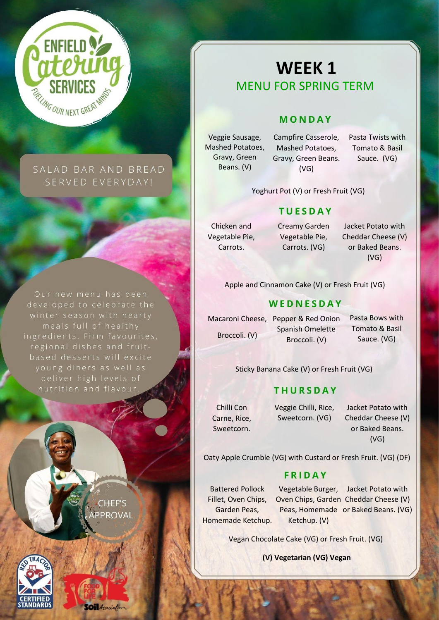

# SALAD BAR AND BREAD SERVED EVERYDAY!

developed to celebrate the ingredients. Firm favourites, young diners as well as deliver high levels of

> **CHEF'S PPROVAL**

**Oil** Association



# **WEEK 1** MENU FOR SPRING TERM

## MONDAY

Veggie Sausage, Mashed Potatoes, Gravy, Green Beans. (V)

Campfire Casserole, Mashed Potatoes, Gravy, Green Beans. (VG)

Pasta Twists with Tomato & Basil Sauce. (VG)

Yoghurt Pot (V) or Fresh Fruit (VG)

## **TUESDAY**

Chicken and Vegetable Pie, Carrots.

Creamy Garden Vegetable Pie, Carrots. (VG)

Jacket Potato with Cheddar Cheese (V) or Baked Beans. (VG)

Apple and Cinnamon Cake (V) or Fresh Fruit (VG)

### WEDNESDAY

Macaroni Cheese, Pepper & Red Onion Spanish Omelette Broccoli. (V) Broccoli. (V)

Pasta Bows with Tomato & Basil Sauce. (VG)

Sticky Banana Cake (V) or Fresh Fruit (VG)

## **THURSDAY**

Chilli Con Carne, Rice, Sweetcorn. Veggie Chilli, Rice, Sweetcorn. (VG)

Jacket Potato with Cheddar Cheese (V) or Baked Beans. (VG)

Oaty Apple Crumble (VG) with Custard or Fresh Fruit. (VG) (DF)

### **FRIDAY**

Battered Pollock Fillet, Oven Chips, Garden Peas, Homemade Ketchup.

Vegetable Burger, Jacket Potato with Oven Chips, Garden Cheddar Cheese (V) Peas, Homemade or Baked Beans. (VG) Ketchup. (V)

Vegan Chocolate Cake (VG) or Fresh Fruit. (VG)

**(V) Vegetarian (VG) Vegan**